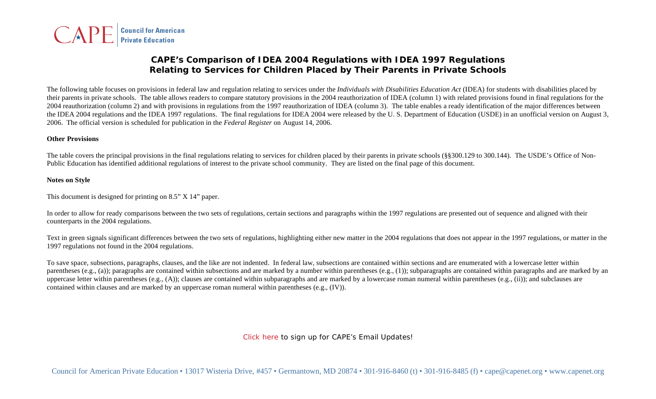

## **CAPE's Comparison of IDEA 2004 Regulations with IDEA 1997 Regulations Relating to Services for Children Placed by Their Parents in Private Schools**

The following table focuses on provisions in federal law and regulation relating to services under the *Individuals with Disabilities Education Act* (IDEA) for students with disabilities placed by their parents in private schools. The table allows readers to compare statutory provisions in the 2004 reauthorization of IDEA (column 1) with related provisions found in final regulations for the 2004 reauthorization (column 2) and with provisions in regulations from the 1997 reauthorization of IDEA (column 3). The table enables a ready identification of the major differences between the IDEA 2004 regulations and the IDEA 1997 regulations. The final regulations for IDEA 2004 were released by the U. S. Department of Education (USDE) in an unofficial version on August 3, 2006. The official version is scheduled for publication in the *Federal Register* on August 14, 2006.

#### **Other Provisions**

The table covers the principal provisions in the final regulations relating to services for children placed by their parents in private schools (§§300.129 to 300.144). The USDE's Office of Non-Public Education has identified additional regulations of interest to the private school community. They are listed on the final page of this document.

#### **Notes on Style**

This document is designed for printing on 8.5" X 14" paper.

In order to allow for ready comparisons between the two sets of regulations, certain sections and paragraphs within the 1997 regulations are presented out of sequence and aligned with their counterparts in the 2004 regulations.

Text in green signals significant differences between the two sets of regulations, highlighting either new matter in the 2004 regulations that does not appear in the 1997 regulations, or matter in the 1997 regulations not found in the 2004 regulations.

To save space, subsections, paragraphs, clauses, and the like are not indented. In federal law, subsections are contained within sections and are enumerated with a lowercase letter within parentheses (e.g., (a)); paragraphs are contained within subsections and are marked by a number within parentheses (e.g., (1)); subparagraphs are contained within paragraphs and are marked by an uppercase letter within parentheses (e.g., (A)); clauses are contained within subparagraphs and are marked by a lowercase roman numeral within parentheses (e.g., (ii)); and subclauses are contained within clauses and are marked by an uppercase roman numeral within parentheses (e.g., (IV)).

[Click here](http://www.capenet.org/email.html) to sign up for CAPE's Email Updates!

Council for American Private Education • 13017 Wisteria Drive, #457 • Germantown, MD 20874 • 301-916-8460 (t) • 301-916-8485 (f) • cape@capenet.org • www.capenet.org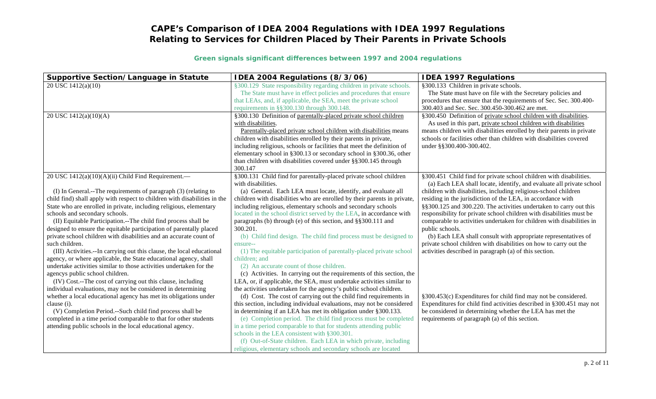# **CAPE's Comparison of IDEA 2004 Regulations with IDEA 1997 Regulations Relating to Services for Children Placed by Their Parents in Private Schools**

### **Green signals significant differences between 1997 and 2004 regulations**

| Supportive Section/Language in Statute                                    | IDEA 2004 Regulations (8/3/06)                                           | <b>IDEA 1997 Regulations</b>                                          |
|---------------------------------------------------------------------------|--------------------------------------------------------------------------|-----------------------------------------------------------------------|
| $20$ USC $1412(a)(10)$                                                    | §300.129 State responsibility regarding children in private schools.     | §300.133 Children in private schools.                                 |
|                                                                           | The State must have in effect policies and procedures that ensure        | The State must have on file with the Secretary policies and           |
|                                                                           | that LEAs, and, if applicable, the SEA, meet the private school          | procedures that ensure that the requirements of Sec. Sec. 300.400-    |
|                                                                           | requirements in §§300.130 through 300.148.                               | 300.403 and Sec. Sec. 300.450-300.462 are met.                        |
| 20 USC 1412(a)(10)(A)                                                     | §300.130 Definition of parentally-placed private school children         | §300.450 Definition of private school children with disabilities.     |
|                                                                           | with disabilities.                                                       | As used in this part, private school children with disabilities       |
|                                                                           | Parentally-placed private school children with disabilities means        | means children with disabilities enrolled by their parents in private |
|                                                                           | children with disabilities enrolled by their parents in private,         | schools or facilities other than children with disabilities covered   |
|                                                                           | including religious, schools or facilities that meet the definition of   | under §§300.400-300.402.                                              |
|                                                                           | elementary school in §300.13 or secondary school in §300.36, other       |                                                                       |
|                                                                           | than children with disabilities covered under §§300.145 through          |                                                                       |
|                                                                           | 300.147                                                                  |                                                                       |
| 20 USC 1412(a)(10)(A)(ii) Child Find Requirement.—                        | §300.131 Child find for parentally-placed private school children        | §300.451 Child find for private school children with disabilities.    |
|                                                                           | with disabilities.                                                       | (a) Each LEA shall locate, identify, and evaluate all private school  |
| (I) In General.--The requirements of paragraph (3) (relating to           | (a) General. Each LEA must locate, identify, and evaluate all            | children with disabilities, including religious-school children       |
| child find) shall apply with respect to children with disabilities in the | children with disabilities who are enrolled by their parents in private, | residing in the jurisdiction of the LEA, in accordance with           |
| State who are enrolled in private, including religious, elementary        | including religious, elementary schools and secondary schools            | §§300.125 and 300.220. The activities undertaken to carry out this    |
| schools and secondary schools.                                            | located in the school district served by the LEA, in accordance with     | responsibility for private school children with disabilities must be  |
| (II) Equitable Participation.--The child find process shall be            | paragraphs (b) through (e) of this section, and §§300.111 and            | comparable to activities undertaken for children with disabilities in |
| designed to ensure the equitable participation of parentally placed       | 300.201.                                                                 | public schools.                                                       |
| private school children with disabilities and an accurate count of        | (b) Child find design. The child find process must be designed to        | (b) Each LEA shall consult with appropriate representatives of        |
| such children.                                                            | ensure--                                                                 | private school children with disabilities on how to carry out the     |
| (III) Activities.--In carrying out this clause, the local educational     | (1) The equitable participation of parentally-placed private school      | activities described in paragraph (a) of this section.                |
| agency, or where applicable, the State educational agency, shall          | children; and                                                            |                                                                       |
| undertake activities similar to those activities undertaken for the       | (2) An accurate count of those children.                                 |                                                                       |
| agencys public school children.                                           | (c) Activities. In carrying out the requirements of this section, the    |                                                                       |
| (IV) Cost.--The cost of carrying out this clause, including               | LEA, or, if applicable, the SEA, must undertake activities similar to    |                                                                       |
| individual evaluations, may not be considered in determining              | the activities undertaken for the agency's public school children.       |                                                                       |
| whether a local educational agency has met its obligations under          | (d) Cost. The cost of carrying out the child find requirements in        | §300.453(c) Expenditures for child find may not be considered.        |
| clause (i).                                                               | this section, including individual evaluations, may not be considered    | Expenditures for child find activities described in §300.451 may not  |
| (V) Completion Period.--Such child find process shall be                  | in determining if an LEA has met its obligation under §300.133.          | be considered in determining whether the LEA has met the              |
| completed in a time period comparable to that for other students          | (e) Completion period. The child find process must be completed          | requirements of paragraph (a) of this section.                        |
| attending public schools in the local educational agency.                 | in a time period comparable to that for students attending public        |                                                                       |
|                                                                           | schools in the LEA consistent with §300.301.                             |                                                                       |
|                                                                           | (f) Out-of-State children. Each LEA in which private, including          |                                                                       |
|                                                                           | religious, elementary schools and secondary schools are located          |                                                                       |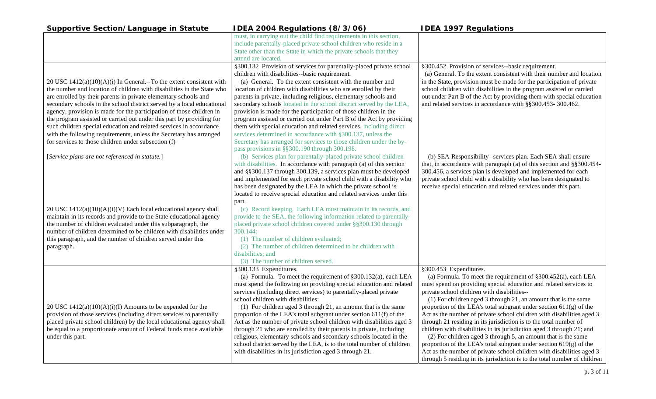| Supportive Section/Language in Statute                                                                                                                                                                                                                                                                                                                                                                                                                                                                                                                                                                                                          | IDEA 2004 Regulations (8/3/06)                                                                                                                                                                                                                                                                                                                                                                                                                                                                                                                                                                                                                                                                                                                                                                            | <b>IDEA 1997 Regulations</b>                                                                                                                                                                                                                                                                                                                                                                                                                                                                                                                                                                                                                                                                                                                                                                                                                                                     |
|-------------------------------------------------------------------------------------------------------------------------------------------------------------------------------------------------------------------------------------------------------------------------------------------------------------------------------------------------------------------------------------------------------------------------------------------------------------------------------------------------------------------------------------------------------------------------------------------------------------------------------------------------|-----------------------------------------------------------------------------------------------------------------------------------------------------------------------------------------------------------------------------------------------------------------------------------------------------------------------------------------------------------------------------------------------------------------------------------------------------------------------------------------------------------------------------------------------------------------------------------------------------------------------------------------------------------------------------------------------------------------------------------------------------------------------------------------------------------|----------------------------------------------------------------------------------------------------------------------------------------------------------------------------------------------------------------------------------------------------------------------------------------------------------------------------------------------------------------------------------------------------------------------------------------------------------------------------------------------------------------------------------------------------------------------------------------------------------------------------------------------------------------------------------------------------------------------------------------------------------------------------------------------------------------------------------------------------------------------------------|
|                                                                                                                                                                                                                                                                                                                                                                                                                                                                                                                                                                                                                                                 | must, in carrying out the child find requirements in this section,<br>include parentally-placed private school children who reside in a<br>State other than the State in which the private schools that they<br>attend are located.                                                                                                                                                                                                                                                                                                                                                                                                                                                                                                                                                                       |                                                                                                                                                                                                                                                                                                                                                                                                                                                                                                                                                                                                                                                                                                                                                                                                                                                                                  |
| 20 USC $1412(a)(10)(A)(i)$ In General.--To the extent consistent with<br>the number and location of children with disabilities in the State who<br>are enrolled by their parents in private elementary schools and<br>secondary schools in the school district served by a local educational<br>agency, provision is made for the participation of those children in<br>the program assisted or carried out under this part by providing for<br>such children special education and related services in accordance<br>with the following requirements, unless the Secretary has arranged<br>for services to those children under subsection (f) | §300.132 Provision of services for parentally-placed private school<br>children with disabilities--basic requirement.<br>(a) General. To the extent consistent with the number and<br>location of children with disabilities who are enrolled by their<br>parents in private, including religious, elementary schools and<br>secondary schools located in the school district served by the LEA,<br>provision is made for the participation of those children in the<br>program assisted or carried out under Part B of the Act by providing<br>them with special education and related services, including direct<br>services determined in accordance with §300.137, unless the<br>Secretary has arranged for services to those children under the by-<br>pass provisions in §§300.190 through 300.198. | §300.452 Provision of services-basic requirement.<br>(a) General. To the extent consistent with their number and location<br>in the State, provision must be made for the participation of private<br>school children with disabilities in the program assisted or carried<br>out under Part B of the Act by providing them with special education<br>and related services in accordance with §§300.453-300.462.                                                                                                                                                                                                                                                                                                                                                                                                                                                                 |
| [Service plans are not referenced in statute.]                                                                                                                                                                                                                                                                                                                                                                                                                                                                                                                                                                                                  | (b) Services plan for parentally-placed private school children<br>with disabilities. In accordance with paragraph (a) of this section<br>and §§300.137 through 300.139, a services plan must be developed<br>and implemented for each private school child with a disability who<br>has been designated by the LEA in which the private school is<br>located to receive special education and related services under this                                                                                                                                                                                                                                                                                                                                                                                | (b) SEA Responsibility--services plan. Each SEA shall ensure<br>that, in accordance with paragraph (a) of this section and §§300.454-<br>300.456, a services plan is developed and implemented for each<br>private school child with a disability who has been designated to<br>receive special education and related services under this part.                                                                                                                                                                                                                                                                                                                                                                                                                                                                                                                                  |
| 20 USC 1412(a)(10)(A)(i)(V) Each local educational agency shall<br>maintain in its records and provide to the State educational agency<br>the number of children evaluated under this subparagraph, the<br>number of children determined to be children with disabilities under<br>this paragraph, and the number of children served under this<br>paragraph.                                                                                                                                                                                                                                                                                   | part.<br>(c) Record keeping. Each LEA must maintain in its records, and<br>provide to the SEA, the following information related to parentally-<br>placed private school children covered under §§300.130 through<br>300.144:<br>(1) The number of children evaluated;<br>(2) The number of children determined to be children with<br>disabilities: and<br>(3) The number of children served.                                                                                                                                                                                                                                                                                                                                                                                                            |                                                                                                                                                                                                                                                                                                                                                                                                                                                                                                                                                                                                                                                                                                                                                                                                                                                                                  |
| 20 USC $1412(a)(10)(A)(i)(I)$ Amounts to be expended for the<br>provision of those services (including direct services to parentally<br>placed private school children) by the local educational agency shall<br>be equal to a proportionate amount of Federal funds made available<br>under this part.                                                                                                                                                                                                                                                                                                                                         | §300.133 Expenditures.<br>(a) Formula. To meet the requirement of $\S 300.132(a)$ , each LEA<br>must spend the following on providing special education and related<br>services (including direct services) to parentally-placed private<br>school children with disabilities:<br>(1) For children aged 3 through 21, an amount that is the same<br>proportion of the LEA's total subgrant under section 611(f) of the<br>Act as the number of private school children with disabilities aged 3<br>through 21 who are enrolled by their parents in private, including<br>religious, elementary schools and secondary schools located in the<br>school district served by the LEA, is to the total number of children<br>with disabilities in its jurisdiction aged 3 through 21.                          | §300.453 Expenditures.<br>(a) Formula. To meet the requirement of $\S 300.452(a)$ , each LEA<br>must spend on providing special education and related services to<br>private school children with disabilities--<br>(1) For children aged 3 through 21, an amount that is the same<br>proportion of the LEA's total subgrant under section $611(g)$ of the<br>Act as the number of private school children with disabilities aged 3<br>through 21 residing in its jurisdiction is to the total number of<br>children with disabilities in its jurisdiction aged 3 through 21; and<br>(2) For children aged 3 through 5, an amount that is the same<br>proportion of the LEA's total subgrant under section $619(g)$ of the<br>Act as the number of private school children with disabilities aged 3<br>through 5 residing in its jurisdiction is to the total number of children |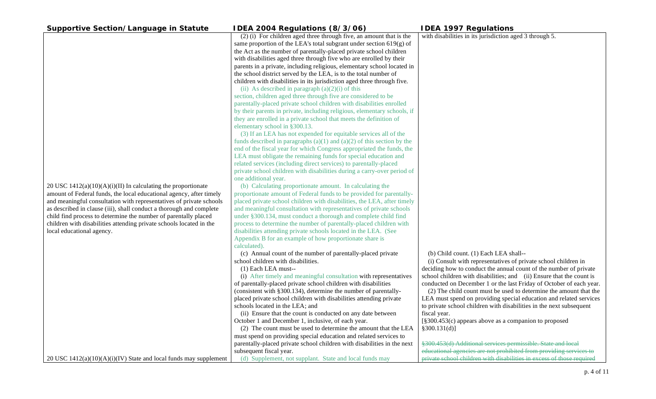| <b>Supportive Section/Language in Statute</b>                       | IDEA 2004 Regulations (8/3/06)                                                                                                      | <b>IDEA 1997 Regulations</b>                                                                                                                |
|---------------------------------------------------------------------|-------------------------------------------------------------------------------------------------------------------------------------|---------------------------------------------------------------------------------------------------------------------------------------------|
|                                                                     | $(2)$ (i) For children aged three through five, an amount that is the                                                               | with disabilities in its jurisdiction aged 3 through 5.                                                                                     |
|                                                                     | same proportion of the LEA's total subgrant under section $619(g)$ of                                                               |                                                                                                                                             |
|                                                                     | the Act as the number of parentally-placed private school children                                                                  |                                                                                                                                             |
|                                                                     | with disabilities aged three through five who are enrolled by their                                                                 |                                                                                                                                             |
|                                                                     | parents in a private, including religious, elementary school located in                                                             |                                                                                                                                             |
|                                                                     | the school district served by the LEA, is to the total number of                                                                    |                                                                                                                                             |
|                                                                     | children with disabilities in its jurisdiction aged three through five.                                                             |                                                                                                                                             |
|                                                                     | (ii) As described in paragraph $(a)(2)(i)$ of this                                                                                  |                                                                                                                                             |
|                                                                     | section, children aged three through five are considered to be                                                                      |                                                                                                                                             |
|                                                                     | parentally-placed private school children with disabilities enrolled                                                                |                                                                                                                                             |
|                                                                     | by their parents in private, including religious, elementary schools, if                                                            |                                                                                                                                             |
|                                                                     | they are enrolled in a private school that meets the definition of                                                                  |                                                                                                                                             |
|                                                                     | elementary school in §300.13.                                                                                                       |                                                                                                                                             |
|                                                                     | (3) If an LEA has not expended for equitable services all of the                                                                    |                                                                                                                                             |
|                                                                     | funds described in paragraphs $(a)(1)$ and $(a)(2)$ of this section by the                                                          |                                                                                                                                             |
|                                                                     | end of the fiscal year for which Congress appropriated the funds, the                                                               |                                                                                                                                             |
|                                                                     | LEA must obligate the remaining funds for special education and                                                                     |                                                                                                                                             |
|                                                                     | related services (including direct services) to parentally-placed                                                                   |                                                                                                                                             |
|                                                                     | private school children with disabilities during a carry-over period of                                                             |                                                                                                                                             |
|                                                                     | one additional year.                                                                                                                |                                                                                                                                             |
| 20 USC $1412(a)(10)(A)(i)(II)$ In calculating the proportionate     | (b) Calculating proportionate amount. In calculating the                                                                            |                                                                                                                                             |
| amount of Federal funds, the local educational agency, after timely | proportionate amount of Federal funds to be provided for parentally-                                                                |                                                                                                                                             |
| and meaningful consultation with representatives of private schools | placed private school children with disabilities, the LEA, after timely                                                             |                                                                                                                                             |
| as described in clause (iii), shall conduct a thorough and complete | and meaningful consultation with representatives of private schools                                                                 |                                                                                                                                             |
| child find process to determine the number of parentally placed     | under §300.134, must conduct a thorough and complete child find                                                                     |                                                                                                                                             |
| children with disabilities attending private schools located in the | process to determine the number of parentally-placed children with                                                                  |                                                                                                                                             |
| local educational agency.                                           | disabilities attending private schools located in the LEA. (See                                                                     |                                                                                                                                             |
|                                                                     | Appendix B for an example of how proportionate share is                                                                             |                                                                                                                                             |
|                                                                     | calculated).                                                                                                                        |                                                                                                                                             |
|                                                                     | (c) Annual count of the number of parentally-placed private                                                                         | (b) Child count. (1) Each LEA shall--                                                                                                       |
|                                                                     | school children with disabilities.                                                                                                  | (i) Consult with representatives of private school children in                                                                              |
|                                                                     | (1) Each LEA must--                                                                                                                 | deciding how to conduct the annual count of the number of private                                                                           |
|                                                                     | (i) After timely and meaningful consultation with representatives<br>of parentally-placed private school children with disabilities | school children with disabilities; and (ii) Ensure that the count is<br>conducted on December 1 or the last Friday of October of each year. |
|                                                                     | (consistent with §300.134), determine the number of parentally-                                                                     | (2) The child count must be used to determine the amount that the                                                                           |
|                                                                     | placed private school children with disabilities attending private                                                                  | LEA must spend on providing special education and related services                                                                          |
|                                                                     | schools located in the LEA; and                                                                                                     | to private school children with disabilities in the next subsequent                                                                         |
|                                                                     | (ii) Ensure that the count is conducted on any date between                                                                         | fiscal year.                                                                                                                                |
|                                                                     | October 1 and December 1, inclusive, of each year.                                                                                  | $\S300.453(c)$ appears above as a companion to proposed                                                                                     |
|                                                                     | (2) The count must be used to determine the amount that the LEA                                                                     | §300.131(d)]                                                                                                                                |
|                                                                     | must spend on providing special education and related services to                                                                   |                                                                                                                                             |
|                                                                     | parentally-placed private school children with disabilities in the next                                                             | §300.453(d) Additional services permissible. State and local                                                                                |
|                                                                     | subsequent fiscal year.                                                                                                             | educational agencies are not prohibited from providing services to                                                                          |
| 20 USC $1412(a)(10)(A)(i)(IV)$ State and local funds may supplement | (d) Supplement, not supplant. State and local funds may                                                                             | private school children with disabilities in excess of those required                                                                       |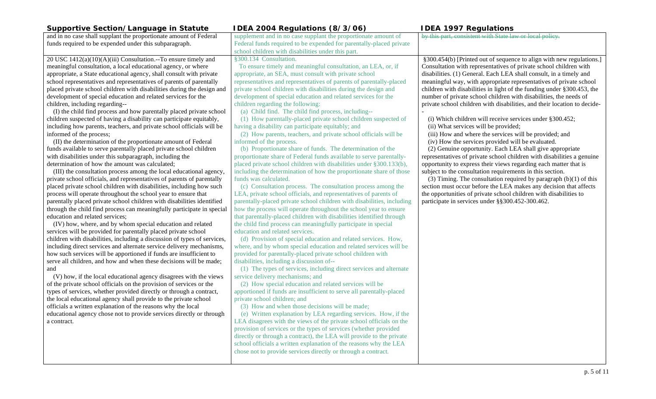| <b>Supportive Section/Language in Statute</b>                                                                                       | IDEA 2004 Regulations (8/3/06)                                                                                                            | <b>IDEA 1997 Regulations</b>                                                                                |
|-------------------------------------------------------------------------------------------------------------------------------------|-------------------------------------------------------------------------------------------------------------------------------------------|-------------------------------------------------------------------------------------------------------------|
| and in no case shall supplant the proportionate amount of Federal                                                                   | supplement and in no case supplant the proportionate amount of                                                                            | by this part, consistent with State law or local policy.                                                    |
| funds required to be expended under this subparagraph.                                                                              | Federal funds required to be expended for parentally-placed private                                                                       |                                                                                                             |
|                                                                                                                                     | school children with disabilities under this part.                                                                                        |                                                                                                             |
| 20 USC 1412(a)(10)(A)(iii) Consultation.--To ensure timely and                                                                      | §300.134 Consultation.                                                                                                                    | §300.454(b) [Printed out of sequence to align with new regulations.]                                        |
| meaningful consultation, a local educational agency, or where                                                                       | To ensure timely and meaningful consultation, an LEA, or, if                                                                              | Consultation with representatives of private school children with                                           |
| appropriate, a State educational agency, shall consult with private                                                                 | appropriate, an SEA, must consult with private school                                                                                     | disabilities. (1) General. Each LEA shall consult, in a timely and                                          |
| school representatives and representatives of parents of parentally                                                                 | representatives and representatives of parents of parentally-placed                                                                       | meaningful way, with appropriate representatives of private school                                          |
| placed private school children with disabilities during the design and                                                              | private school children with disabilities during the design and                                                                           | children with disabilities in light of the funding under §300.453, the                                      |
| development of special education and related services for the                                                                       | development of special education and related services for the                                                                             | number of private school children with disabilities, the needs of                                           |
| children, including regarding--                                                                                                     | children regarding the following:                                                                                                         | private school children with disabilities, and their location to decide-                                    |
| (I) the child find process and how parentally placed private school                                                                 | (a) Child find. The child find process, including--                                                                                       |                                                                                                             |
| children suspected of having a disability can participate equitably,                                                                | (1) How parentally-placed private school children suspected of                                                                            | (i) Which children will receive services under $\S 300.452$ ;                                               |
| including how parents, teachers, and private school officials will be                                                               | having a disability can participate equitably; and                                                                                        | (ii) What services will be provided;                                                                        |
| informed of the process;                                                                                                            | (2) How parents, teachers, and private school officials will be<br>informed of the process.                                               | (iii) How and where the services will be provided; and<br>(iv) How the services provided will be evaluated. |
| (II) the determination of the proportionate amount of Federal<br>funds available to serve parentally placed private school children | (b) Proportionate share of funds. The determination of the                                                                                | (2) Genuine opportunity. Each LEA shall give appropriate                                                    |
| with disabilities under this subparagraph, including the                                                                            | proportionate share of Federal funds available to serve parentally-                                                                       | representatives of private school children with disabilities a genuine                                      |
| determination of how the amount was calculated;                                                                                     | placed private school children with disabilities under §300.133(b),                                                                       | opportunity to express their views regarding each matter that is                                            |
| (III) the consultation process among the local educational agency,                                                                  | including the determination of how the proportionate share of those                                                                       | subject to the consultation requirements in this section.                                                   |
| private school officials, and representatives of parents of parentally                                                              | funds was calculated.                                                                                                                     | (3) Timing. The consultation required by paragraph $(b)(1)$ of this                                         |
| placed private school children with disabilities, including how such                                                                | (c) Consultation process. The consultation process among the                                                                              | section must occur before the LEA makes any decision that affects                                           |
| process will operate throughout the school year to ensure that                                                                      | LEA, private school officials, and representatives of parents of                                                                          | the opportunities of private school children with disabilities to                                           |
| parentally placed private school children with disabilities identified                                                              | parentally-placed private school children with disabilities, including                                                                    | participate in services under §§300.452-300.462.                                                            |
| through the child find process can meaningfully participate in special                                                              | how the process will operate throughout the school year to ensure                                                                         |                                                                                                             |
| education and related services;                                                                                                     | that parentally-placed children with disabilities identified through                                                                      |                                                                                                             |
| (IV) how, where, and by whom special education and related                                                                          | the child find process can meaningfully participate in special                                                                            |                                                                                                             |
| services will be provided for parentally placed private school                                                                      | education and related services.                                                                                                           |                                                                                                             |
| children with disabilities, including a discussion of types of services,                                                            | (d) Provision of special education and related services. How,                                                                             |                                                                                                             |
| including direct services and alternate service delivery mechanisms,                                                                | where, and by whom special education and related services will be                                                                         |                                                                                                             |
| how such services will be apportioned if funds are insufficient to                                                                  | provided for parentally-placed private school children with                                                                               |                                                                                                             |
| serve all children, and how and when these decisions will be made;                                                                  | disabilities, including a discussion of--                                                                                                 |                                                                                                             |
| and                                                                                                                                 | (1) The types of services, including direct services and alternate                                                                        |                                                                                                             |
| (V) how, if the local educational agency disagrees with the views                                                                   | service delivery mechanisms; and                                                                                                          |                                                                                                             |
| of the private school officials on the provision of services or the                                                                 | (2) How special education and related services will be                                                                                    |                                                                                                             |
| types of services, whether provided directly or through a contract,                                                                 | apportioned if funds are insufficient to serve all parentally-placed                                                                      |                                                                                                             |
| the local educational agency shall provide to the private school                                                                    | private school children; and                                                                                                              |                                                                                                             |
| officials a written explanation of the reasons why the local                                                                        | (3) How and when those decisions will be made;                                                                                            |                                                                                                             |
| educational agency chose not to provide services directly or through                                                                | (e) Written explanation by LEA regarding services. How, if the                                                                            |                                                                                                             |
| a contract.                                                                                                                         | LEA disagrees with the views of the private school officials on the                                                                       |                                                                                                             |
|                                                                                                                                     | provision of services or the types of services (whether provided                                                                          |                                                                                                             |
|                                                                                                                                     | directly or through a contract), the LEA will provide to the private<br>school officials a written explanation of the reasons why the LEA |                                                                                                             |
|                                                                                                                                     | chose not to provide services directly or through a contract.                                                                             |                                                                                                             |
|                                                                                                                                     |                                                                                                                                           |                                                                                                             |
|                                                                                                                                     |                                                                                                                                           |                                                                                                             |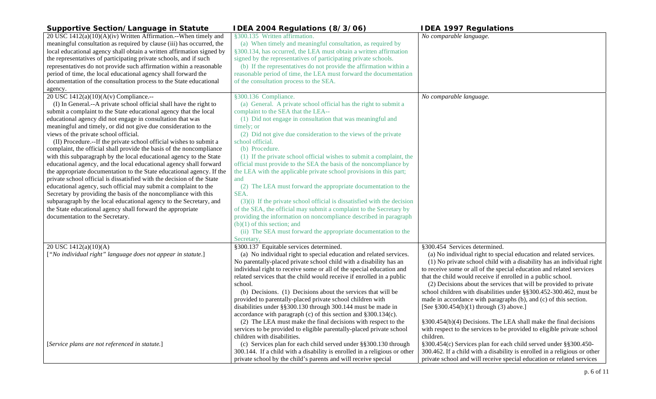| <b>Supportive Section/Language in Statute</b>                                                                                                                                                                                                                                                                                                                                                                                                                                                                                                                                                                                                                                                                                                                                                                                                                                                                                                                                                                                                                                                                         | IDEA 2004 Regulations (8/3/06)                                                                                                                                                                                                                                                                                                                                                                                                                                                                                                                                                                                                                                                                                                                                                                                                                                                                                                                                    | <b>IDEA 1997 Regulations</b>                                                                                                                                                                                                                                                                                                                                                                                                                                                                                                                                                                                                                                                                                                                                                                                    |
|-----------------------------------------------------------------------------------------------------------------------------------------------------------------------------------------------------------------------------------------------------------------------------------------------------------------------------------------------------------------------------------------------------------------------------------------------------------------------------------------------------------------------------------------------------------------------------------------------------------------------------------------------------------------------------------------------------------------------------------------------------------------------------------------------------------------------------------------------------------------------------------------------------------------------------------------------------------------------------------------------------------------------------------------------------------------------------------------------------------------------|-------------------------------------------------------------------------------------------------------------------------------------------------------------------------------------------------------------------------------------------------------------------------------------------------------------------------------------------------------------------------------------------------------------------------------------------------------------------------------------------------------------------------------------------------------------------------------------------------------------------------------------------------------------------------------------------------------------------------------------------------------------------------------------------------------------------------------------------------------------------------------------------------------------------------------------------------------------------|-----------------------------------------------------------------------------------------------------------------------------------------------------------------------------------------------------------------------------------------------------------------------------------------------------------------------------------------------------------------------------------------------------------------------------------------------------------------------------------------------------------------------------------------------------------------------------------------------------------------------------------------------------------------------------------------------------------------------------------------------------------------------------------------------------------------|
| 20 USC 1412(a)(10)(A)(iv) Written Affirmation.--When timely and<br>meaningful consultation as required by clause (iii) has occurred, the<br>local educational agency shall obtain a written affirmation signed by<br>the representatives of participating private schools, and if such<br>representatives do not provide such affirmation within a reasonable<br>period of time, the local educational agency shall forward the<br>documentation of the consultation process to the State educational<br>agency.                                                                                                                                                                                                                                                                                                                                                                                                                                                                                                                                                                                                      | §300.135 Written affirmation.<br>(a) When timely and meaningful consultation, as required by<br>§300.134, has occurred, the LEA must obtain a written affirmation<br>signed by the representatives of participating private schools.<br>(b) If the representatives do not provide the affirmation within a<br>reasonable period of time, the LEA must forward the documentation<br>of the consultation process to the SEA.                                                                                                                                                                                                                                                                                                                                                                                                                                                                                                                                        | No comparable language.                                                                                                                                                                                                                                                                                                                                                                                                                                                                                                                                                                                                                                                                                                                                                                                         |
| 20 USC 1412(a)(10)(A(v) Compliance.--<br>(I) In General.--A private school official shall have the right to<br>submit a complaint to the State educational agency that the local<br>educational agency did not engage in consultation that was<br>meaningful and timely, or did not give due consideration to the<br>views of the private school official.<br>(II) Procedure.--If the private school official wishes to submit a<br>complaint, the official shall provide the basis of the noncompliance<br>with this subparagraph by the local educational agency to the State<br>educational agency, and the local educational agency shall forward<br>the appropriate documentation to the State educational agency. If the<br>private school official is dissatisfied with the decision of the State<br>educational agency, such official may submit a complaint to the<br>Secretary by providing the basis of the noncompliance with this<br>subparagraph by the local educational agency to the Secretary, and<br>the State educational agency shall forward the appropriate<br>documentation to the Secretary. | §300.136 Compliance.<br>(a) General. A private school official has the right to submit a<br>complaint to the SEA that the LEA--<br>(1) Did not engage in consultation that was meaningful and<br>timely; or<br>(2) Did not give due consideration to the views of the private<br>school official.<br>(b) Procedure.<br>(1) If the private school official wishes to submit a complaint, the<br>official must provide to the SEA the basis of the noncompliance by<br>the LEA with the applicable private school provisions in this part;<br>and<br>(2) The LEA must forward the appropriate documentation to the<br>SEA.<br>$(3)(i)$ If the private school official is dissatisfied with the decision<br>of the SEA, the official may submit a complaint to the Secretary by<br>providing the information on noncompliance described in paragraph<br>$(b)(1)$ of this section; and<br>(ii) The SEA must forward the appropriate documentation to the<br>Secretary | No comparable language.                                                                                                                                                                                                                                                                                                                                                                                                                                                                                                                                                                                                                                                                                                                                                                                         |
| 20 USC 1412(a)(10)(A)<br>["No individual right" language does not appear in statute.]<br>[Service plans are not referenced in statute.]                                                                                                                                                                                                                                                                                                                                                                                                                                                                                                                                                                                                                                                                                                                                                                                                                                                                                                                                                                               | §300.137 Equitable services determined.<br>(a) No individual right to special education and related services.<br>No parentally-placed private school child with a disability has an<br>individual right to receive some or all of the special education and<br>related services that the child would receive if enrolled in a public<br>school.<br>(b) Decisions. (1) Decisions about the services that will be<br>provided to parentally-placed private school children with<br>disabilities under §§300.130 through 300.144 must be made in<br>accordance with paragraph (c) of this section and §300.134(c).<br>(2) The LEA must make the final decisions with respect to the<br>services to be provided to eligible parentally-placed private school<br>children with disabilities.<br>(c) Services plan for each child served under §§300.130 through                                                                                                        | §300.454 Services determined.<br>(a) No individual right to special education and related services.<br>(1) No private school child with a disability has an individual right<br>to receive some or all of the special education and related services<br>that the child would receive if enrolled in a public school.<br>(2) Decisions about the services that will be provided to private<br>school children with disabilities under §§300.452-300.462, must be<br>made in accordance with paragraphs (b), and (c) of this section.<br>[See $$300.454(b)(1)$ through (3) above.]<br>§300.454(b)(4) Decisions. The LEA shall make the final decisions<br>with respect to the services to be provided to eligible private school<br>children.<br>§300.454(c) Services plan for each child served under §§300.450- |
|                                                                                                                                                                                                                                                                                                                                                                                                                                                                                                                                                                                                                                                                                                                                                                                                                                                                                                                                                                                                                                                                                                                       | 300.144. If a child with a disability is enrolled in a religious or other<br>private school by the child's parents and will receive special                                                                                                                                                                                                                                                                                                                                                                                                                                                                                                                                                                                                                                                                                                                                                                                                                       | 300.462. If a child with a disability is enrolled in a religious or other<br>private school and will receive special education or related services                                                                                                                                                                                                                                                                                                                                                                                                                                                                                                                                                                                                                                                              |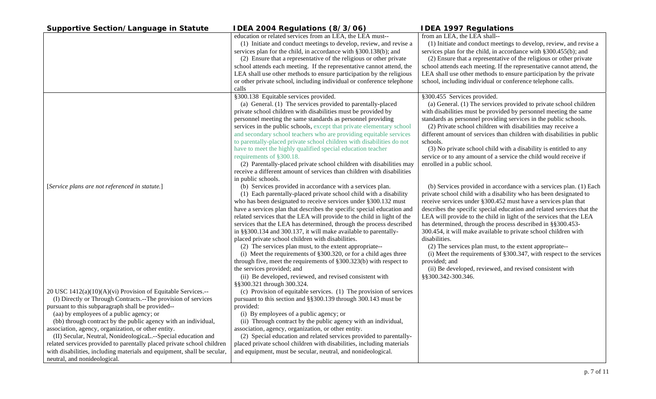| <b>Supportive Section/Language in Statute</b>                                                                         | IDEA 2004 Regulations (8/3/06)                                                                            | <b>IDEA 1997 Regulations</b>                                                                     |
|-----------------------------------------------------------------------------------------------------------------------|-----------------------------------------------------------------------------------------------------------|--------------------------------------------------------------------------------------------------|
|                                                                                                                       | education or related services from an LEA, the LEA must--                                                 | from an LEA, the LEA shall--                                                                     |
|                                                                                                                       | (1) Initiate and conduct meetings to develop, review, and revise a                                        | (1) Initiate and conduct meetings to develop, review, and revise a                               |
|                                                                                                                       | services plan for the child, in accordance with §300.138(b); and                                          | services plan for the child, in accordance with §300.455(b); and                                 |
|                                                                                                                       | (2) Ensure that a representative of the religious or other private                                        | (2) Ensure that a representative of the religious or other private                               |
|                                                                                                                       | school attends each meeting. If the representative cannot attend, the                                     | school attends each meeting. If the representative cannot attend, the                            |
|                                                                                                                       | LEA shall use other methods to ensure participation by the religious                                      | LEA shall use other methods to ensure participation by the private                               |
|                                                                                                                       | or other private school, including individual or conference telephone                                     | school, including individual or conference telephone calls.                                      |
|                                                                                                                       | calls                                                                                                     |                                                                                                  |
|                                                                                                                       | §300.138 Equitable services provided.                                                                     | §300.455 Services provided.                                                                      |
|                                                                                                                       | (a) General. (1) The services provided to parentally-placed                                               | (a) General. (1) The services provided to private school children                                |
|                                                                                                                       | private school children with disabilities must be provided by                                             | with disabilities must be provided by personnel meeting the same                                 |
|                                                                                                                       | personnel meeting the same standards as personnel providing                                               | standards as personnel providing services in the public schools.                                 |
|                                                                                                                       | services in the public schools, except that private elementary school                                     | (2) Private school children with disabilities may receive a                                      |
|                                                                                                                       | and secondary school teachers who are providing equitable services                                        | different amount of services than children with disabilities in public                           |
|                                                                                                                       | to parentally-placed private school children with disabilities do not                                     | schools.                                                                                         |
|                                                                                                                       | have to meet the highly qualified special education teacher<br>requirements of §300.18.                   | (3) No private school child with a disability is entitled to any                                 |
|                                                                                                                       | (2) Parentally-placed private school children with disabilities may                                       | service or to any amount of a service the child would receive if<br>enrolled in a public school. |
|                                                                                                                       | receive a different amount of services than children with disabilities                                    |                                                                                                  |
|                                                                                                                       | in public schools.                                                                                        |                                                                                                  |
| [Service plans are not referenced in statute.]                                                                        | (b) Services provided in accordance with a services plan.                                                 | (b) Services provided in accordance with a services plan. (1) Each                               |
|                                                                                                                       | (1) Each parentally-placed private school child with a disability                                         | private school child with a disability who has been designated to                                |
|                                                                                                                       | who has been designated to receive services under §300.132 must                                           | receive services under §300.452 must have a services plan that                                   |
|                                                                                                                       | have a services plan that describes the specific special education and                                    | describes the specific special education and related services that the                           |
|                                                                                                                       | related services that the LEA will provide to the child in light of the                                   | LEA will provide to the child in light of the services that the LEA                              |
|                                                                                                                       | services that the LEA has determined, through the process described                                       | has determined, through the process described in §§300.453-                                      |
|                                                                                                                       | in §§300.134 and 300.137, it will make available to parentally-                                           | 300.454, it will make available to private school children with                                  |
|                                                                                                                       | placed private school children with disabilities.                                                         | disabilities.                                                                                    |
|                                                                                                                       | (2) The services plan must, to the extent appropriate--                                                   | (2) The services plan must, to the extent appropriate--                                          |
|                                                                                                                       | (i) Meet the requirements of $\S 300.320$ , or for a child ages three                                     | (i) Meet the requirements of $\S 300.347$ , with respect to the services                         |
|                                                                                                                       | through five, meet the requirements of $\S 300.323(b)$ with respect to                                    | provided; and                                                                                    |
|                                                                                                                       | the services provided; and                                                                                | (ii) Be developed, reviewed, and revised consistent with                                         |
|                                                                                                                       | (ii) Be developed, reviewed, and revised consistent with                                                  | §§300.342-300.346.                                                                               |
|                                                                                                                       | §§300.321 through 300.324.                                                                                |                                                                                                  |
| 20 USC 1412(a)(10)(A)(vi) Provision of Equitable Services.--                                                          | (c) Provision of equitable services. (1) The provision of services                                        |                                                                                                  |
| (I) Directly or Through Contracts.--The provision of services                                                         | pursuant to this section and §§300.139 through 300.143 must be                                            |                                                                                                  |
| pursuant to this subparagraph shall be provided--                                                                     | provided:                                                                                                 |                                                                                                  |
| (aa) by employees of a public agency; or                                                                              | (i) By employees of a public agency; or<br>(ii) Through contract by the public agency with an individual, |                                                                                                  |
| (bb) through contract by the public agency with an individual,<br>association, agency, organization, or other entity. | association, agency, organization, or other entity.                                                       |                                                                                                  |
| (II) Secular, Neutral, NonideologicaL.--Special education and                                                         | (2) Special education and related services provided to parentally-                                        |                                                                                                  |
| related services provided to parentally placed private school children                                                | placed private school children with disabilities, including materials                                     |                                                                                                  |
| with disabilities, including materials and equipment, shall be secular,                                               | and equipment, must be secular, neutral, and nonideological.                                              |                                                                                                  |
| neutral, and nonideological.                                                                                          |                                                                                                           |                                                                                                  |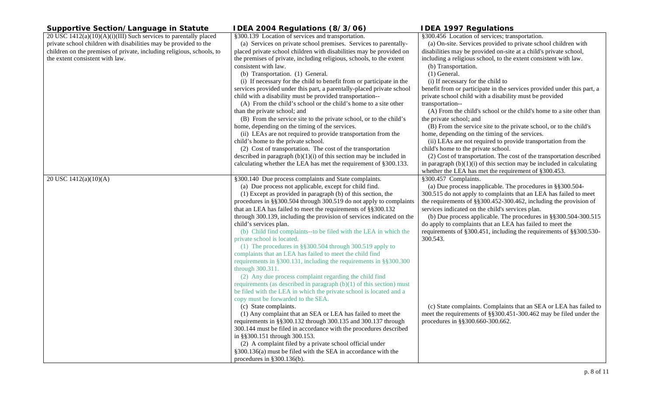| <b>Supportive Section/Language in Statute</b>                         | IDEA 2004 Regulations (8/3/06)                                         | <b>IDEA 1997 Regulations</b>                                                                                                                    |
|-----------------------------------------------------------------------|------------------------------------------------------------------------|-------------------------------------------------------------------------------------------------------------------------------------------------|
| 20 USC 1412(a)(10)(A)(i)(III) Such services to parentally placed      | §300.139 Location of services and transportation.                      | §300.456 Location of services; transportation.                                                                                                  |
| private school children with disabilities may be provided to the      | (a) Services on private school premises. Services to parentally-       | (a) On-site. Services provided to private school children with                                                                                  |
| children on the premises of private, including religious, schools, to | placed private school children with disabilities may be provided on    | disabilities may be provided on-site at a child's private school,                                                                               |
| the extent consistent with law.                                       | the premises of private, including religious, schools, to the extent   | including a religious school, to the extent consistent with law.                                                                                |
|                                                                       | consistent with law.                                                   | (b) Transportation.                                                                                                                             |
|                                                                       | (b) Transportation. (1) General.                                       | $(1)$ General.                                                                                                                                  |
|                                                                       | (i) If necessary for the child to benefit from or participate in the   | (i) If necessary for the child to                                                                                                               |
|                                                                       | services provided under this part, a parentally-placed private school  | benefit from or participate in the services provided under this part, a                                                                         |
|                                                                       | child with a disability must be provided transportation--              | private school child with a disability must be provided                                                                                         |
|                                                                       | (A) From the child's school or the child's home to a site other        | transportation--                                                                                                                                |
|                                                                       | than the private school; and                                           | (A) From the child's school or the child's home to a site other than                                                                            |
|                                                                       | (B) From the service site to the private school, or to the child's     | the private school; and                                                                                                                         |
|                                                                       | home, depending on the timing of the services.                         | (B) From the service site to the private school, or to the child's                                                                              |
|                                                                       | (ii) LEAs are not required to provide transportation from the          | home, depending on the timing of the services.                                                                                                  |
|                                                                       | child's home to the private school.                                    | (ii) LEAs are not required to provide transportation from the                                                                                   |
|                                                                       | (2) Cost of transportation. The cost of the transportation             | child's home to the private school.                                                                                                             |
|                                                                       |                                                                        |                                                                                                                                                 |
|                                                                       | described in paragraph $(b)(1)(i)$ of this section may be included in  | (2) Cost of transportation. The cost of the transportation described<br>in paragraph $(b)(1)(i)$ of this section may be included in calculating |
|                                                                       | calculating whether the LEA has met the requirement of §300.133.       |                                                                                                                                                 |
|                                                                       |                                                                        | whether the LEA has met the requirement of §300.453.                                                                                            |
| $\overline{20}$ USC 1412(a)(10)(A)                                    | §300.140 Due process complaints and State complaints.                  | §300.457 Complaints.                                                                                                                            |
|                                                                       | (a) Due process not applicable, except for child find.                 | (a) Due process inapplicable. The procedures in $\S$ §300.504-                                                                                  |
|                                                                       | $(1)$ Except as provided in paragraph $(b)$ of this section, the       | 300.515 do not apply to complaints that an LEA has failed to meet                                                                               |
|                                                                       | procedures in §§300.504 through 300.519 do not apply to complaints     | the requirements of §§300.452-300.462, including the provision of                                                                               |
|                                                                       | that an LEA has failed to meet the requirements of §§300.132           | services indicated on the child's services plan.                                                                                                |
|                                                                       | through 300.139, including the provision of services indicated on the  | (b) Due process applicable. The procedures in $\S$ \$300.504-300.515                                                                            |
|                                                                       | child's services plan.                                                 | do apply to complaints that an LEA has failed to meet the                                                                                       |
|                                                                       | (b) Child find complaints--to be filed with the LEA in which the       | requirements of §300.451, including the requirements of §§300.530-                                                                              |
|                                                                       | private school is located.                                             | 300.543.                                                                                                                                        |
|                                                                       | (1) The procedures in $\S$ §300.504 through 300.519 apply to           |                                                                                                                                                 |
|                                                                       | complaints that an LEA has failed to meet the child find               |                                                                                                                                                 |
|                                                                       | requirements in §300.131, including the requirements in §§300.300      |                                                                                                                                                 |
|                                                                       | through 300.311.                                                       |                                                                                                                                                 |
|                                                                       | (2) Any due process complaint regarding the child find                 |                                                                                                                                                 |
|                                                                       | requirements (as described in paragraph $(b)(1)$ of this section) must |                                                                                                                                                 |
|                                                                       | be filed with the LEA in which the private school is located and a     |                                                                                                                                                 |
|                                                                       | copy must be forwarded to the SEA.                                     |                                                                                                                                                 |
|                                                                       | (c) State complaints.                                                  | (c) State complaints. Complaints that an SEA or LEA has failed to                                                                               |
|                                                                       | (1) Any complaint that an SEA or LEA has failed to meet the            | meet the requirements of §§300.451-300.462 may be filed under the                                                                               |
|                                                                       | requirements in §§300.132 through 300.135 and 300.137 through          | procedures in §§300.660-300.662.                                                                                                                |
|                                                                       | 300.144 must be filed in accordance with the procedures described      |                                                                                                                                                 |
|                                                                       | in §§300.151 through 300.153.                                          |                                                                                                                                                 |
|                                                                       | (2) A complaint filed by a private school official under               |                                                                                                                                                 |
|                                                                       | §300.136(a) must be filed with the SEA in accordance with the          |                                                                                                                                                 |
|                                                                       | procedures in $§300.136(b)$ .                                          |                                                                                                                                                 |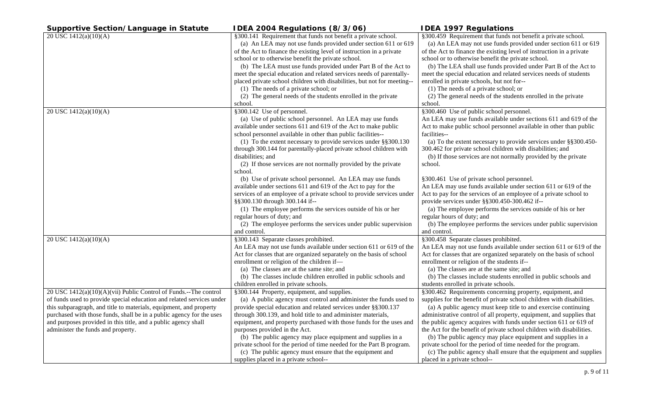| <b>Supportive Section/Language in Statute</b>                         | IDEA 2004 Regulations (8/3/06)                                          | <b>IDEA 1997 Regulations</b>                                           |
|-----------------------------------------------------------------------|-------------------------------------------------------------------------|------------------------------------------------------------------------|
| 20 USC $1412(a)(10)(A)$                                               | §300.141 Requirement that funds not benefit a private school.           | §300.459 Requirement that funds not benefit a private school.          |
|                                                                       | (a) An LEA may not use funds provided under section 611 or 619          | (a) An LEA may not use funds provided under section 611 or 619         |
|                                                                       | of the Act to finance the existing level of instruction in a private    | of the Act to finance the existing level of instruction in a private   |
|                                                                       | school or to otherwise benefit the private school.                      | school or to otherwise benefit the private school.                     |
|                                                                       | (b) The LEA must use funds provided under Part B of the Act to          | (b) The LEA shall use funds provided under Part B of the Act to        |
|                                                                       | meet the special education and related services needs of parentally-    | meet the special education and related services needs of students      |
|                                                                       | placed private school children with disabilities, but not for meeting-- | enrolled in private schools, but not for--                             |
|                                                                       | (1) The needs of a private school; or                                   | (1) The needs of a private school; or                                  |
|                                                                       | (2) The general needs of the students enrolled in the private           | (2) The general needs of the students enrolled in the private          |
|                                                                       | school.                                                                 | school.                                                                |
| 20 USC 1412(a)(10)(A)                                                 | §300.142 Use of personnel.                                              | §300.460 Use of public school personnel.                               |
|                                                                       | (a) Use of public school personnel. An LEA may use funds                | An LEA may use funds available under sections 611 and 619 of the       |
|                                                                       | available under sections 611 and 619 of the Act to make public          | Act to make public school personnel available in other than public     |
|                                                                       | school personnel available in other than public facilities--            | facilities--                                                           |
|                                                                       | (1) To the extent necessary to provide services under $\S$ §300.130     | (a) To the extent necessary to provide services under $\S$ §300.450-   |
|                                                                       | through 300.144 for parentally-placed private school children with      | 300.462 for private school children with disabilities; and             |
|                                                                       | disabilities; and                                                       | (b) If those services are not normally provided by the private         |
|                                                                       | (2) If those services are not normally provided by the private          | school.                                                                |
|                                                                       | school.                                                                 |                                                                        |
|                                                                       | (b) Use of private school personnel. An LEA may use funds               | §300.461 Use of private school personnel.                              |
|                                                                       | available under sections 611 and 619 of the Act to pay for the          | An LEA may use funds available under section 611 or 619 of the         |
|                                                                       | services of an employee of a private school to provide services under   | Act to pay for the services of an employee of a private school to      |
|                                                                       | §§300.130 through 300.144 if--                                          | provide services under §§300.450-300.462 if--                          |
|                                                                       | (1) The employee performs the services outside of his or her            | (a) The employee performs the services outside of his or her           |
|                                                                       | regular hours of duty; and                                              | regular hours of duty; and                                             |
|                                                                       | (2) The employee performs the services under public supervision         | (b) The employee performs the services under public supervision        |
|                                                                       | and control.                                                            | and control.                                                           |
| 20 USC 1412(a)(10)(A)                                                 | §300.143 Separate classes prohibited.                                   | §300.458 Separate classes prohibited.                                  |
|                                                                       | An LEA may not use funds available under section 611 or 619 of the      | An LEA may not use funds available under section 611 or 619 of the     |
|                                                                       | Act for classes that are organized separately on the basis of school    | Act for classes that are organized separately on the basis of school   |
|                                                                       | enrollment or religion of the children if-                              | enrollment or religion of the students if--                            |
|                                                                       | (a) The classes are at the same site; and                               | (a) The classes are at the same site; and                              |
|                                                                       | (b) The classes include children enrolled in public schools and         | (b) The classes include students enrolled in public schools and        |
|                                                                       | children enrolled in private schools.                                   | students enrolled in private schools.                                  |
| 20 USC 1412(a)(10)(A)(vii) Public Control of Funds.--The control      | §300.144 Property, equipment, and supplies.                             | §300.462 Requirements concerning property, equipment, and              |
| of funds used to provide special education and related services under | (a) A public agency must control and administer the funds used to       | supplies for the benefit of private school children with disabilities. |
| this subparagraph, and title to materials, equipment, and property    | provide special education and related services under §§300.137          | (a) A public agency must keep title to and exercise continuing         |
| purchased with those funds, shall be in a public agency for the uses  | through 300.139, and hold title to and administer materials,            | administrative control of all property, equipment, and supplies that   |
| and purposes provided in this title, and a public agency shall        | equipment, and property purchased with those funds for the uses and     | the public agency acquires with funds under section 611 or 619 of      |
| administer the funds and property.                                    | purposes provided in the Act.                                           | the Act for the benefit of private school children with disabilities.  |
|                                                                       | (b) The public agency may place equipment and supplies in a             | (b) The public agency may place equipment and supplies in a            |
|                                                                       | private school for the period of time needed for the Part B program.    | private school for the period of time needed for the program.          |
|                                                                       | (c) The public agency must ensure that the equipment and                | (c) The public agency shall ensure that the equipment and supplies     |
|                                                                       | supplies placed in a private school--                                   | placed in a private school--                                           |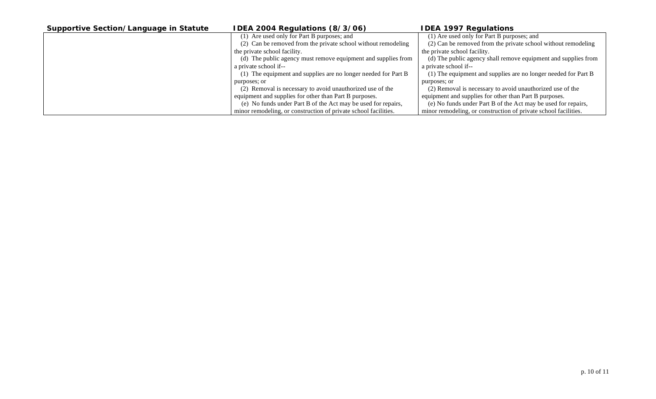| <b>Supportive Section/Language in Statute</b> | IDEA 2004 Regulations (8/3/06)                                  | <b>IDEA 1997 Regulations</b>                                    |
|-----------------------------------------------|-----------------------------------------------------------------|-----------------------------------------------------------------|
|                                               | (1) Are used only for Part B purposes; and                      | (1) Are used only for Part B purposes; and                      |
|                                               | (2) Can be removed from the private school without remodeling   | (2) Can be removed from the private school without remodeling   |
|                                               | the private school facility.                                    | the private school facility.                                    |
|                                               | (d) The public agency must remove equipment and supplies from   | (d) The public agency shall remove equipment and supplies from  |
|                                               | a private school if--                                           | a private school if--                                           |
|                                               | (1) The equipment and supplies are no longer needed for Part B  | (1) The equipment and supplies are no longer needed for Part B  |
|                                               | purposes; or                                                    | purposes; or                                                    |
|                                               | (2) Removal is necessary to avoid unauthorized use of the       | (2) Removal is necessary to avoid unauthorized use of the       |
|                                               | equipment and supplies for other than Part B purposes.          | equipment and supplies for other than Part B purposes.          |
|                                               | (e) No funds under Part B of the Act may be used for repairs,   | (e) No funds under Part B of the Act may be used for repairs,   |
|                                               | minor remodeling, or construction of private school facilities. | minor remodeling, or construction of private school facilities. |